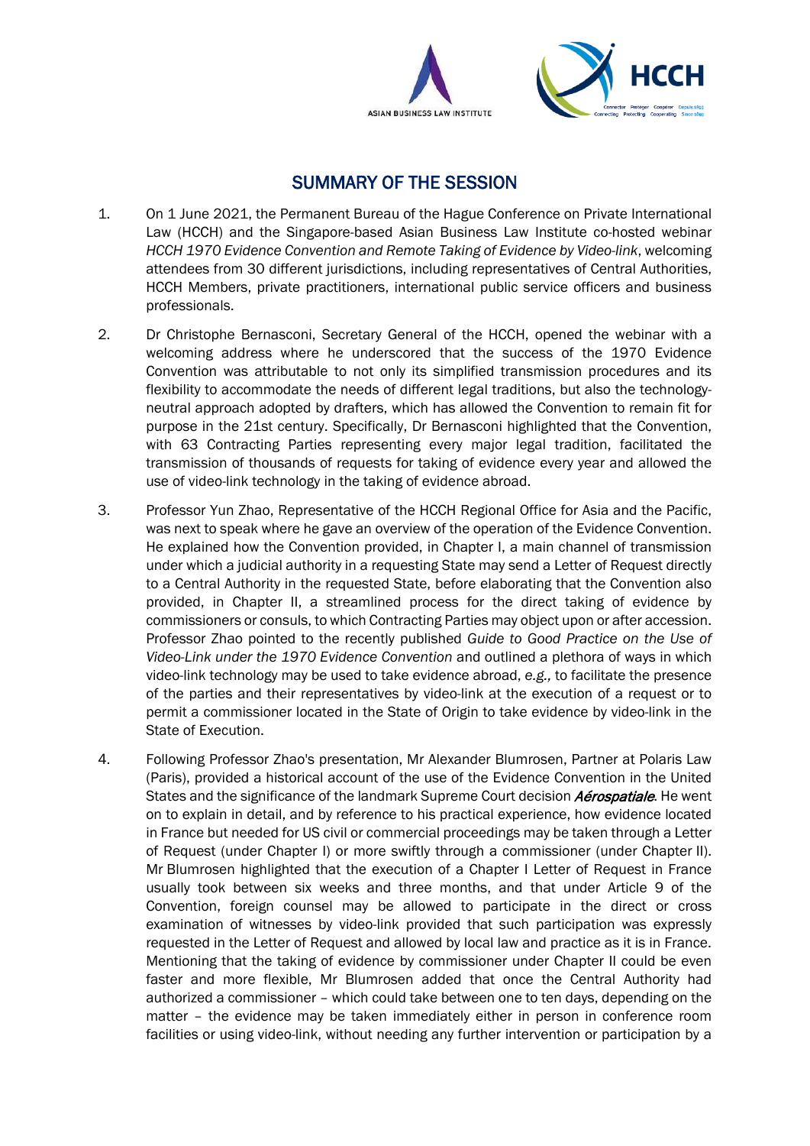



# SUMMARY OF THE SESSION

- 1. On 1 June 2021, the Permanent Bureau of the Hague Conference on Private International Law (HCCH) and the Singapore-based Asian Business Law Institute co-hosted webinar *HCCH 1970 Evidence Convention and Remote Taking of Evidence by Video-link*, welcoming attendees from 30 different jurisdictions, including representatives of Central Authorities, HCCH Members, private practitioners, international public service officers and business professionals.
- 2. Dr Christophe Bernasconi, Secretary General of the HCCH, opened the webinar with a welcoming address where he underscored that the success of the 1970 Evidence Convention was attributable to not only its simplified transmission procedures and its flexibility to accommodate the needs of different legal traditions, but also the technologyneutral approach adopted by drafters, which has allowed the Convention to remain fit for purpose in the 21st century. Specifically, Dr Bernasconi highlighted that the Convention, with 63 Contracting Parties representing every major legal tradition, facilitated the transmission of thousands of requests for taking of evidence every year and allowed the use of video-link technology in the taking of evidence abroad.
- 3. Professor Yun Zhao, Representative of the HCCH Regional Office for Asia and the Pacific, was next to speak where he gave an overview of the operation of the Evidence Convention. He explained how the Convention provided, in Chapter I, a main channel of transmission under which a judicial authority in a requesting State may send a Letter of Request directly to a Central Authority in the requested State, before elaborating that the Convention also provided, in Chapter II, a streamlined process for the direct taking of evidence by commissioners or consuls, to which Contracting Parties may object upon or after accession. Professor Zhao pointed to the recently published *Guide to Good Practice on the Use of Video-Link under the 1970 Evidence Convention* and outlined a plethora of ways in which video-link technology may be used to take evidence abroad, *e.g.,* to facilitate the presence of the parties and their representatives by video-link at the execution of a request or to permit a commissioner located in the State of Origin to take evidence by video-link in the State of Execution.
- 4. Following Professor Zhao's presentation, Mr Alexander Blumrosen, Partner at Polaris Law (Paris), provided a historical account of the use of the Evidence Convention in the United States and the significance of the landmark Supreme Court decision *Aérospatiale*. He went on to explain in detail, and by reference to his practical experience, how evidence located in France but needed for US civil or commercial proceedings may be taken through a Letter of Request (under Chapter I) or more swiftly through a commissioner (under Chapter II). Mr Blumrosen highlighted that the execution of a Chapter I Letter of Request in France usually took between six weeks and three months, and that under Article 9 of the Convention, foreign counsel may be allowed to participate in the direct or cross examination of witnesses by video-link provided that such participation was expressly requested in the Letter of Request and allowed by local law and practice as it is in France. Mentioning that the taking of evidence by commissioner under Chapter II could be even faster and more flexible, Mr Blumrosen added that once the Central Authority had authorized a commissioner – which could take between one to ten days, depending on the matter – the evidence may be taken immediately either in person in conference room facilities or using video-link, without needing any further intervention or participation by a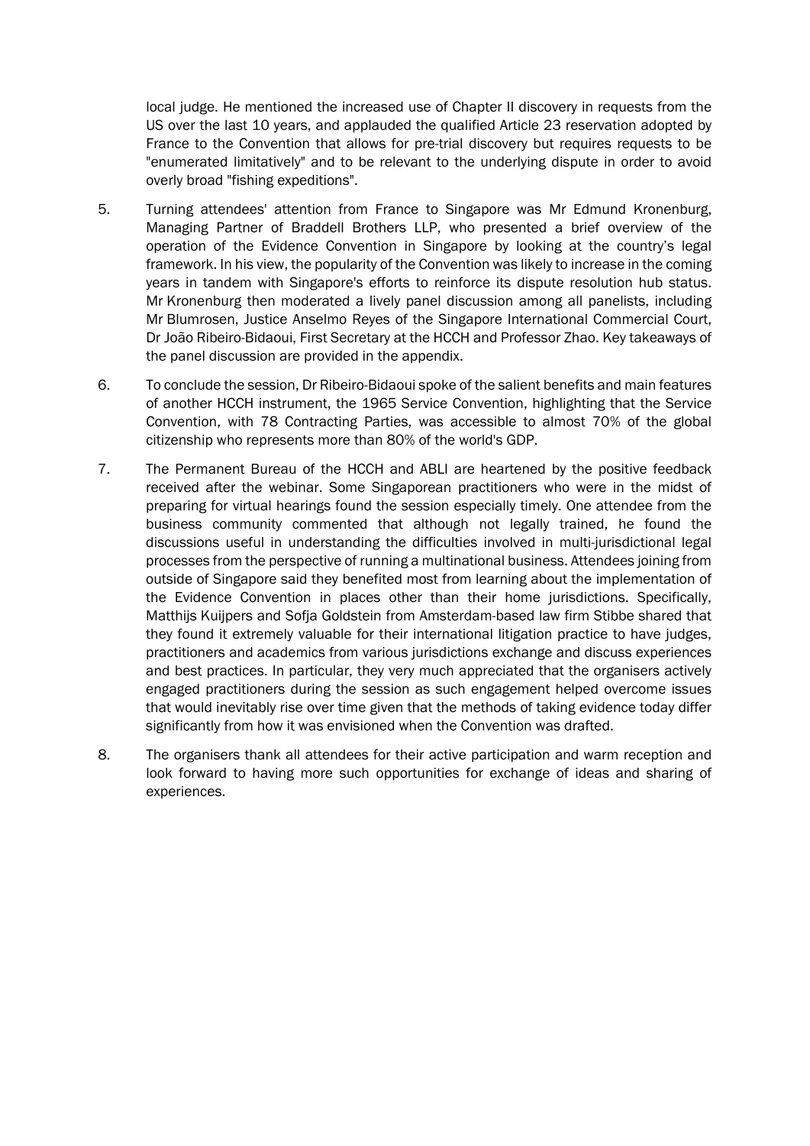local judge. He mentioned the increased use of Chapter II discovery in requests from the US over the last 10 years, and applauded the qualified Article 23 reservation adopted by France to the Convention that allows for pre-trial discovery but requires requests to be "enumerated limitatively" and to be relevant to the underlying dispute in order to avoid overly broad "fishing expeditions".

- 5. Turning attendees' attention from France to Singapore was Mr Edmund Kronenburg, Managing Partner of Braddell Brothers LLP, who presented a brief overview of the operation of the Evidence Convention in Singapore by looking at the country's legal framework. In his view, the popularity of the Convention was likely to increase in the coming years in tandem with Singapore's efforts to reinforce its dispute resolution hub status. Mr Kronenburg then moderated a lively panel discussion among all panelists, including Mr Blumrosen, Justice Anselmo Reyes of the Singapore International Commercial Court, Dr João Ribeiro-Bidaoui, First Secretary at the HCCH and Professor Zhao. Key takeaways of the panel discussion are provided in the appendix.
- 6. To conclude the session, Dr Ribeiro-Bidaoui spoke of the salient benefits and main features of another HCCH instrument, the 1965 Service Convention, highlighting that the Service Convention, with 78 Contracting Parties, was accessible to almost 70% of the global citizenship who represents more than 80% of the world's GDP.
- 7. The Permanent Bureau of the HCCH and ABLI are heartened by the positive feedback received after the webinar. Some Singaporean practitioners who were in the midst of preparing for virtual hearings found the session especially timely. One attendee from the business community commented that although not legally trained, he found the discussions useful in understanding the difficulties involved in multi-jurisdictional legal processes from the perspective of running a multinational business. Attendees joining from outside of Singapore said they benefited most from learning about the implementation of the Evidence Convention in places other than their home jurisdictions. Specifically, Matthijs Kuijpers and Sofja Goldstein from Amsterdam-based law firm Stibbe shared that they found it extremely valuable for their international litigation practice to have judges, practitioners and academics from various jurisdictions exchange and discuss experiences and best practices. In particular, they very much appreciated that the organisers actively engaged practitioners during the session as such engagement helped overcome issues that would inevitably rise over time given that the methods of taking evidence today differ significantly from how it was envisioned when the Convention was drafted.
- 8. The organisers thank all attendees for their active participation and warm reception and look forward to having more such opportunities for exchange of ideas and sharing of experiences.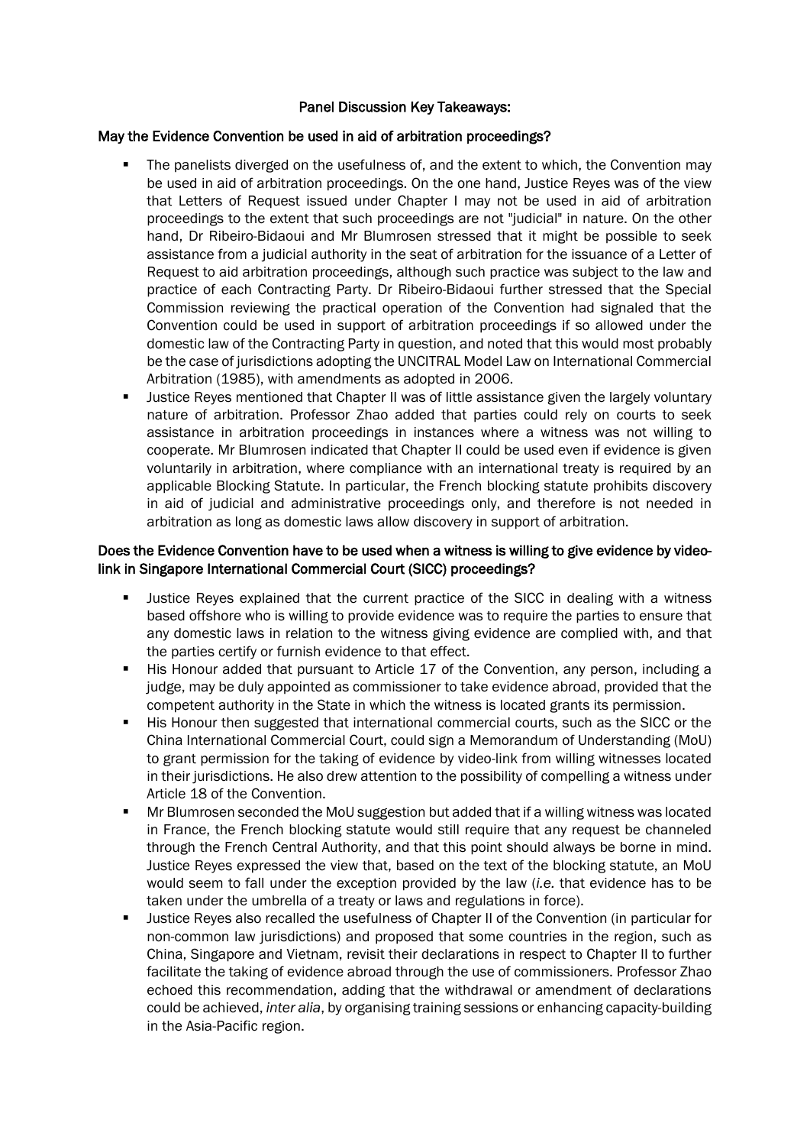#### Panel Discussion Key Takeaways:

### May the Evidence Convention be used in aid of arbitration proceedings?

- The panelists diverged on the usefulness of, and the extent to which, the Convention may be used in aid of arbitration proceedings. On the one hand, Justice Reyes was of the view that Letters of Request issued under Chapter I may not be used in aid of arbitration proceedings to the extent that such proceedings are not "judicial" in nature. On the other hand, Dr Ribeiro-Bidaoui and Mr Blumrosen stressed that it might be possible to seek assistance from a judicial authority in the seat of arbitration for the issuance of a Letter of Request to aid arbitration proceedings, although such practice was subject to the law and practice of each Contracting Party. Dr Ribeiro-Bidaoui further stressed that the Special Commission reviewing the practical operation of the Convention had signaled that the Convention could be used in support of arbitration proceedings if so allowed under the domestic law of the Contracting Party in question, and noted that this would most probably be the case of jurisdictions adopting the UNCITRAL Model Law on International Commercial Arbitration (1985), with amendments as adopted in 2006.
- Justice Reyes mentioned that Chapter II was of little assistance given the largely voluntary nature of arbitration. Professor Zhao added that parties could rely on courts to seek assistance in arbitration proceedings in instances where a witness was not willing to cooperate. Mr Blumrosen indicated that Chapter II could be used even if evidence is given voluntarily in arbitration, where compliance with an international treaty is required by an applicable Blocking Statute. In particular, the French blocking statute prohibits discovery in aid of judicial and administrative proceedings only, and therefore is not needed in arbitration as long as domestic laws allow discovery in support of arbitration.

### Does the Evidence Convention have to be used when a witness is willing to give evidence by videolink in Singapore International Commercial Court (SICC) proceedings?

- Justice Reyes explained that the current practice of the SICC in dealing with a witness based offshore who is willing to provide evidence was to require the parties to ensure that any domestic laws in relation to the witness giving evidence are complied with, and that the parties certify or furnish evidence to that effect.
- His Honour added that pursuant to Article 17 of the Convention, any person, including a judge, may be duly appointed as commissioner to take evidence abroad, provided that the competent authority in the State in which the witness is located grants its permission.
- His Honour then suggested that international commercial courts, such as the SICC or the China International Commercial Court, could sign a Memorandum of Understanding (MoU) to grant permission for the taking of evidence by video-link from willing witnesses located in their jurisdictions. He also drew attention to the possibility of compelling a witness under Article 18 of the Convention.
- Mr Blumrosen seconded the MoU suggestion but added that if a willing witness was located in France, the French blocking statute would still require that any request be channeled through the French Central Authority, and that this point should always be borne in mind. Justice Reyes expressed the view that, based on the text of the blocking statute, an MoU would seem to fall under the exception provided by the law (*i.e.* that evidence has to be taken under the umbrella of a treaty or laws and regulations in force).
- Justice Reyes also recalled the usefulness of Chapter II of the Convention (in particular for non-common law jurisdictions) and proposed that some countries in the region, such as China, Singapore and Vietnam, revisit their declarations in respect to Chapter II to further facilitate the taking of evidence abroad through the use of commissioners. Professor Zhao echoed this recommendation, adding that the withdrawal or amendment of declarations could be achieved, *inter alia*, by organising training sessions or enhancing capacity-building in the Asia-Pacific region.